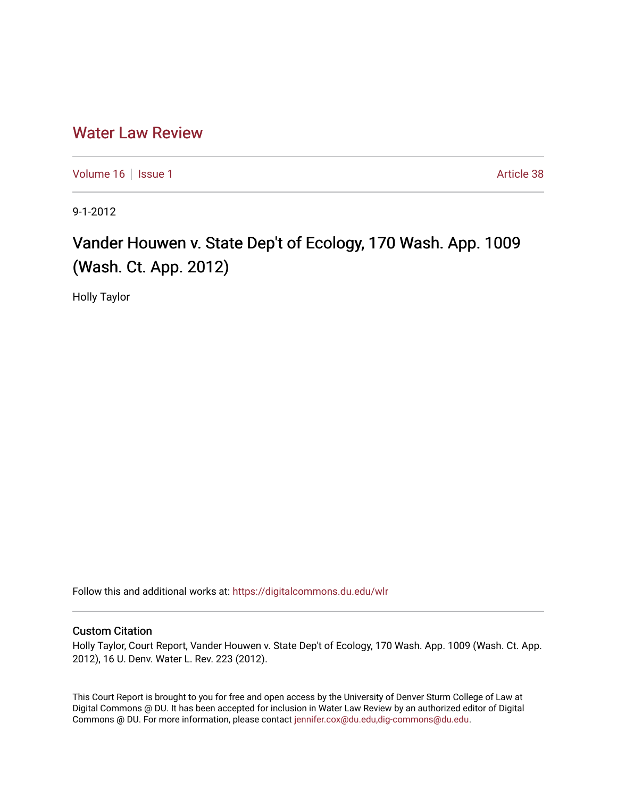# [Water Law Review](https://digitalcommons.du.edu/wlr)

[Volume 16](https://digitalcommons.du.edu/wlr/vol16) | [Issue 1](https://digitalcommons.du.edu/wlr/vol16/iss1) Article 38

9-1-2012

# Vander Houwen v. State Dep't of Ecology, 170 Wash. App. 1009 (Wash. Ct. App. 2012)

Holly Taylor

Follow this and additional works at: [https://digitalcommons.du.edu/wlr](https://digitalcommons.du.edu/wlr?utm_source=digitalcommons.du.edu%2Fwlr%2Fvol16%2Fiss1%2F38&utm_medium=PDF&utm_campaign=PDFCoverPages) 

## Custom Citation

Holly Taylor, Court Report, Vander Houwen v. State Dep't of Ecology, 170 Wash. App. 1009 (Wash. Ct. App. 2012), 16 U. Denv. Water L. Rev. 223 (2012).

This Court Report is brought to you for free and open access by the University of Denver Sturm College of Law at Digital Commons @ DU. It has been accepted for inclusion in Water Law Review by an authorized editor of Digital Commons @ DU. For more information, please contact [jennifer.cox@du.edu,dig-commons@du.edu.](mailto:jennifer.cox@du.edu,dig-commons@du.edu)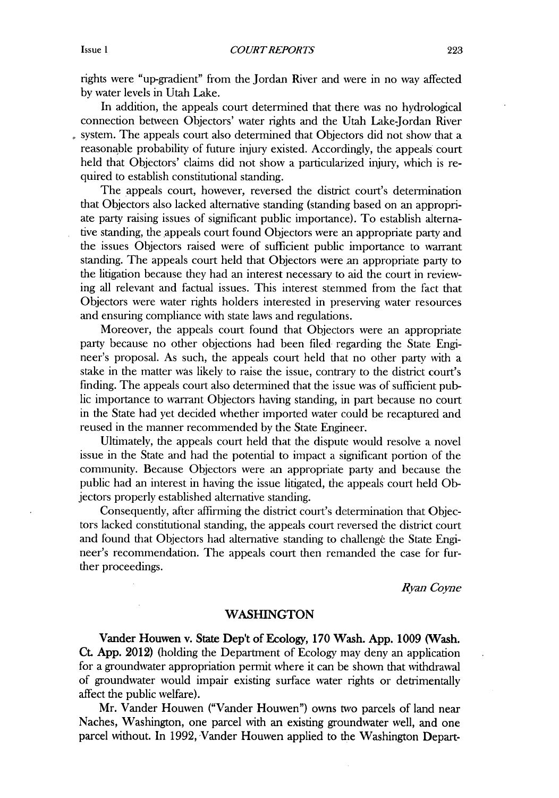rights were "up-gradient" from the Jordan River and were in no way affected **by** water levels in Utah Lake.

In addition, the appeals court determined that there was no hydrological connection between Objectors' water rights and the Utah Lake-Jordan River system. The appeals court also determined that Objectors **did** not show that a reasonable probability of future injury existed. Accordingly, the appeals court held that Objectors' claims did not show a particularized injury, which is required to establish constitutional standing.

The appeals court, however, reversed the district court's determination that Objectors also lacked alternative standing (standing based on an appropriate party raising issues of significant public importance). To establish alternative standing, the appeals court found Objectors were an appropriate party and the issues Objectors raised were of sufficient public importance to warrant standing. The appeals court held that Objectors were an appropriate party to the litigation because they had an interest necessary to aid the court in reviewing all relevant and factual issues. This interest stemmed from the fact that Objectors were water rights holders interested in preserving water resources and ensuring compliance with state laws and regulations.

Moreover, the appeals court found that Objectors were an appropriate party because no other objections had been filed regarding the State Engineer's proposal. As such, the appeals court held that no other party with a stake in the matter was likely to raise the issue, contrary to the district court's finding. The appeals court also determined that the issue was of sufficient pub**lic** importance to warrant Objectors having standing, in part because no court in the State had yet decided whether imported water could be recaptured and reused in the manner recommended **by** the State Engineer.

Ultimately, the appeals court held that the dispute would resolve a novel issue in the State and had the potential to impact a significant portion of the community. Because Objectors were an appropriate party and because the public had an interest in having the issue litigated, the appeals court held **Ob**jectors properly established alternative standing.

Consequently, after affirming the district court's determination that Objectors lacked constitutional standing, the appeals court reversed the district court and found that Objectors had alternative standing to challenge the State Engineer's recommendation. The appeals court then remanded the case for further proceedings.

*Ryan Coyne*

### **WASHINGTON**

Vander Houwen v. State Dep't of Ecology, **170** Wash. **App. 1009** (Wash. Ct. **App.** 2012) (holding the Department of Ecology may deny an application for a groundwater appropriation permit where it can be shown that withdrawal of groundwater would impair existing surface water rights or detrimentally affect the public welfare).

Mr. Vander Houwen ("Vander Houwen") owns two parcels of land near Naches, Washington, one parcel with an existing groundwater well, and one parcel without. In **1992,** Vander Houwen applied to the Washington Depart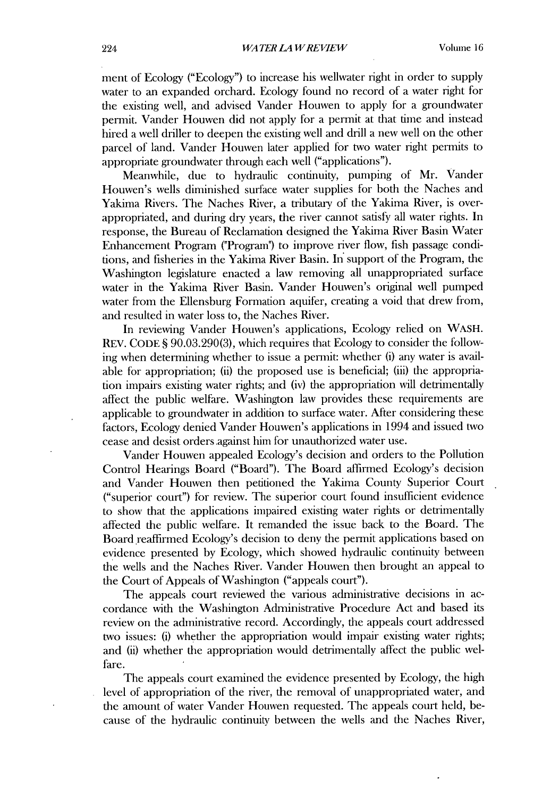ment of Ecology ("Ecology") to increase his wellwater right in order to supply water to an expanded orchard. Ecology found no record of a water right for the existing well, and advised Vander Houwen to apply for a groundwater permit. Vander Houwen **did** not apply for a permit at that time and instead hired a well driller to deepen the existing well and drill a new well on the other parcel of land. Vander Houwen later applied for two water right pennits to appropriate groundwater through each well ("applications").

Meanwhile, due to hydraulic continuity, pumping of Mr. Vander Houwen's wells diminished surface water supplies for both the Naches and Yakima Rivers. The Naches River, a tributary of the Yakima River, is overappropriated, and during dry years, the river cannot satisfy all water rights. In response, the Bureau of Reclamation designed the Yakima River Basin Water Enhancement Program ("Program") to improve river flow, fish passage conditions, and fisheries in the Yakirna River Basin. In support of the Program, the Washington legislature enacted a law removing all unappropriated surface water in the Yakima River Basin. Vander Houwen's original well pumped water from the Ellensburg Formation aquifer, creating a void that drew from, and resulted in water loss to, the Naches River.

In reviewing Vander Houwen's applications, Ecology relied on WASH. REV. **CODE § 90.03.290(3),** which requires that Ecology to consider the following when determining whether to issue a permit: whether (i) any water is available for appropriation; **(ii)** the proposed use is beneficial; **(iii)** the appropriation impairs existing water rights; and (iv) the appropriation will detrimentally affect the public welfare. Washington law provides these requirements are applicable to groundwater in addition to surface water. After considering these factors, Ecology denied Vander Houwen's applications in 1994 and issued two cease and desist orders.against him for unauthorized water use.

Vander Houwen appealed Ecology's decision and orders to the Pollution Control Hearings Board ("Board"). The Board affirmed Ecology's decision and Vander Houwen then petitioned the Yakima County Superior Court ("superior court") for review. The superior court found insufficient evidence to show that the applications impaired existing water rights or detrimentally affected the public welfare. It remanded the issue back to the Board. The Board reaffirmed Ecology's decision to deny the permit applications based on evidence presented **by** Ecology, which showed hydraulic continuity between the wells and the Naches River. Vander Houwen then brought an appeal to the Court of Appeals of Washington ("appeals court").

The appeals court reviewed the various administrative decisions in accordance with the Washington Administrative Procedure Act and based its review on the administrative record. Accordingly, the appeals court addressed two issues: **(i)** whether the appropniation would impair existing water rights; and **(ii)** whether the appropriation would detrimentally affect the public welfare.

The appeals court examined the evidence presented **by** Ecology, the high level of appropriation of the river, the removal of unappropriated water, and the amount of water Vander Houwen requested. The appeals court held, because of the hydraulic continuity between the wells and the Naches River,